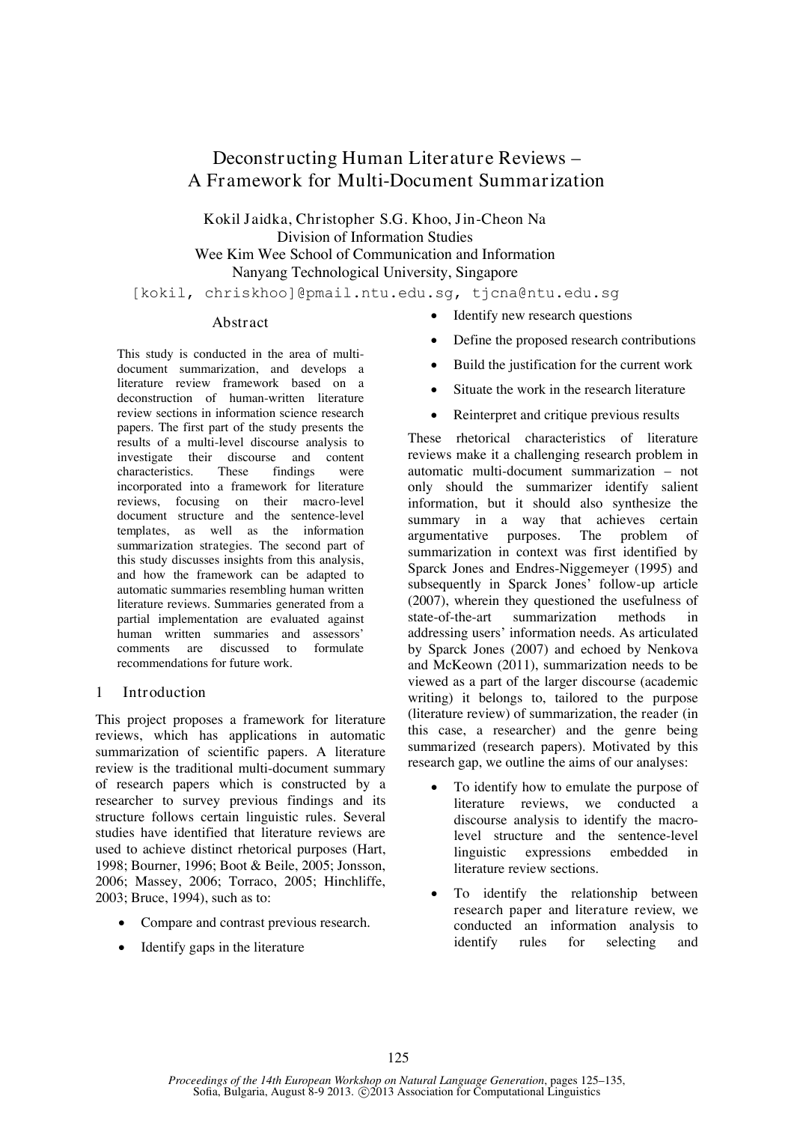# **Deconstructing Human Literature Reviews – A Framework for Multi-Document Summarization**

**Kokil Jaidka, Christopher S.G. Khoo, Jin-Cheon Na** Division of Information Studies Wee Kim Wee School of Communication and Information Nanyang Technological University, Singapore

[kokil, chriskhoo]@pmail.ntu.edu.sg, tjcna@ntu.edu.sg

### **Abstract**

This study is conducted in the area of multidocument summarization, and develops a literature review framework based on a deconstruction of human-written literature review sections in information science research papers. The first part of the study presents the results of a multi-level discourse analysis to investigate their discourse and content characteristics. These findings were incorporated into a framework for literature reviews, focusing on their *macro-level document structure* and the sentence-level *templates,* as well as the *information summarization strategies.* The second part of this study discusses insights from this analysis, and how the framework can be adapted to automatic summaries resembling human written literature reviews. Summaries generated from a partial implementation are evaluated against human written summaries and assessors' comments are discussed to formulate recommendations for future work.

### **1 Introduction**

This project proposes a framework for literature reviews, which has applications in automatic summarization of scientific papers. A literature review is the traditional multi-document summary of research papers which is constructed by a researcher to survey previous findings and its structure follows certain linguistic rules. Several studies have identified that literature reviews are used to achieve distinct rhetorical purposes (Hart, 1998; Bourner, 1996; Boot & Beile, 2005; Jonsson, 2006; Massey, 2006; Torraco, 2005; Hinchliffe, 2003; Bruce, 1994), such as to:

- Compare and contrast previous research.
- Identify gaps in the literature
- Identify new research questions
- Define the proposed research contributions
- Build the justification for the current work
- Situate the work in the research literature
- Reinterpret and critique previous results

These rhetorical characteristics of literature reviews make it a challenging research problem in automatic multi-document summarization – not only should the summarizer identify salient information, but it should also synthesize the summary in a way that achieves certain argumentative purposes. The problem of summarization in context was first identified by Sparck Jones and Endres-Niggemeyer (1995) and subsequently in Sparck Jones' follow-up article (2007), wherein they questioned the usefulness of state-of-the-art summarization methods in addressing users' information needs. As articulated by Sparck Jones (2007) and echoed by Nenkova and McKeown (2011), summarization needs to be viewed as a part of the larger *discourse* (academic writing) it belongs to, tailored to the *purpose*  (literature review) of summarization, the *reader* (in this case, a researcher) and the *genre being summarized* (research papers). Motivated by this research gap, we outline the aims of our analyses:

- To identify how to emulate the *purpose* of literature reviews, we conducted a discourse analysis to identify the macrolevel structure and the sentence-level linguistic expressions embedded in literature review sections.
- To identify the relationship between *research paper* and *literature review,* we conducted an information analysis to identify rules for selecting and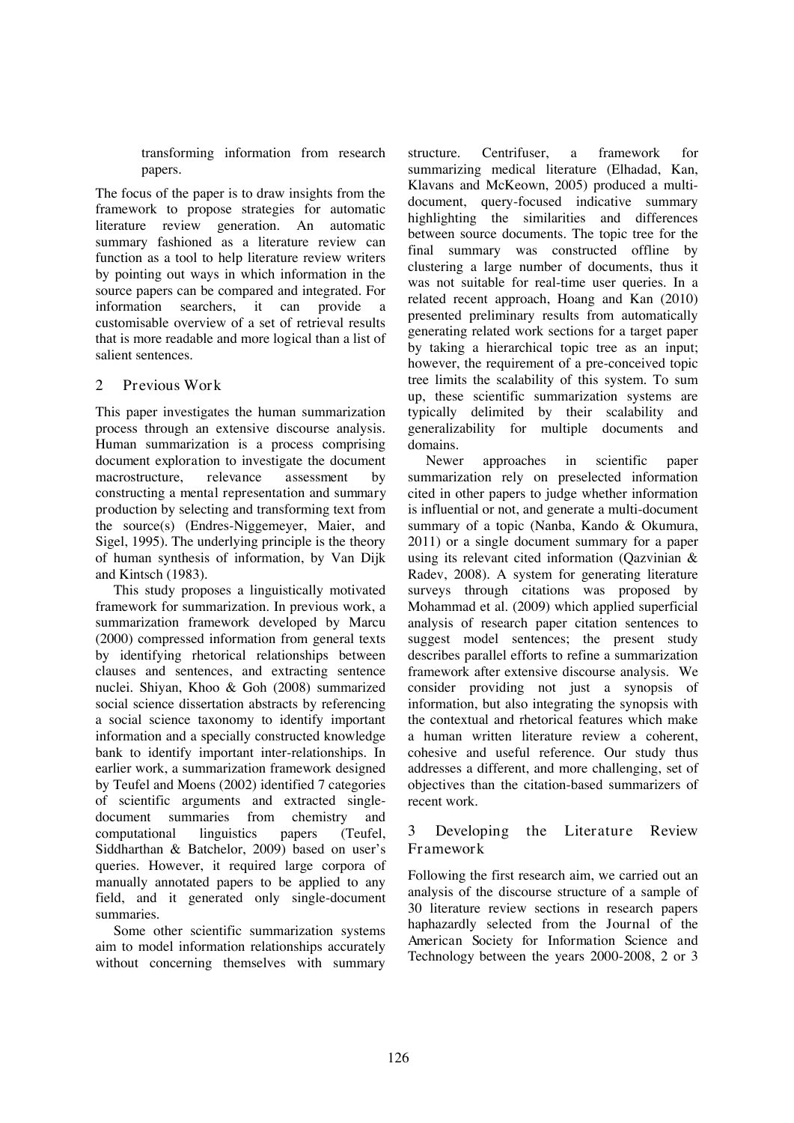transforming information from research papers.

The focus of the paper is to draw insights from the framework to propose strategies for automatic literature review generation. An automatic summary fashioned as a literature review can function as a tool to help literature review writers by pointing out ways in which information in the source papers can be compared and integrated. For information searchers, it can provide a customisable overview of a set of retrieval results that is more readable and more logical than a list of salient sentences.

# **2 Previous Work**

This paper investigates the human summarization process through an extensive discourse analysis. Human summarization is a process comprising *document exploration* to investigate the document macrostructure, *relevance assessment* by constructing a *mental representation* and *summary production* by selecting and transforming text from the source(s) (Endres-Niggemeyer, Maier, and Sigel, 1995). The underlying principle is the theory of human synthesis of information, by Van Dijk and Kintsch (1983).

This study proposes a linguistically motivated framework for summarization. In previous work, a summarization framework developed by Marcu (2000) compressed information from general texts by identifying rhetorical relationships between clauses and sentences, and extracting sentence nuclei. Shiyan, Khoo & Goh (2008) summarized social science dissertation abstracts by referencing a social science taxonomy to identify important information and a specially constructed knowledge bank to identify important inter-relationships. In earlier work, a summarization framework designed by Teufel and Moens (2002) identified 7 categories of scientific arguments and extracted singledocument summaries from chemistry and computational linguistics papers (Teufel, Siddharthan & Batchelor, 2009) based on user's queries. However, it required large corpora of manually annotated papers to be applied to any field, and it generated only single-document summaries.

Some other scientific summarization systems aim to model information relationships accurately without concerning themselves with summary structure. Centrifuser, a framework for summarizing medical literature (Elhadad, Kan, Klavans and McKeown, 2005) produced a multidocument, query-focused indicative summary highlighting the similarities and differences between source documents. The topic tree for the final summary was constructed offline by clustering a large number of documents, thus it was not suitable for real-time user queries. In a related recent approach, Hoang and Kan (2010) presented preliminary results from automatically generating related work sections for a target paper by taking a hierarchical topic tree as an input; however, the requirement of a pre-conceived topic tree limits the scalability of this system. To sum up, these scientific summarization systems are typically delimited by their scalability and generalizability for multiple documents and domains.

Newer approaches in scientific paper summarization rely on preselected information cited in other papers to judge whether information is influential or not, and generate a multi-document summary of a topic (Nanba, Kando & Okumura, 2011) or a single document summary for a paper using its relevant cited information (Qazvinian & Radev, 2008). A system for generating literature surveys through citations was proposed by Mohammad et al. (2009) which applied superficial analysis of research paper citation sentences to suggest model sentences; the present study describes parallel efforts to refine a summarization framework after extensive discourse analysis. We consider providing not just a synopsis of information, but also integrating the synopsis with the contextual and rhetorical features which make a human written literature review a coherent, cohesive and useful reference. Our study thus addresses a different, and more challenging, set of objectives than the citation-based summarizers of recent work.

# **3 Developing the Literature Review Framework**

Following the first research aim, we carried out an analysis of the discourse structure of a sample of 30 literature review sections in research papers haphazardly selected from the *Journal of the American Society for Information Science and Technology* between the years 2000-2008, 2 or 3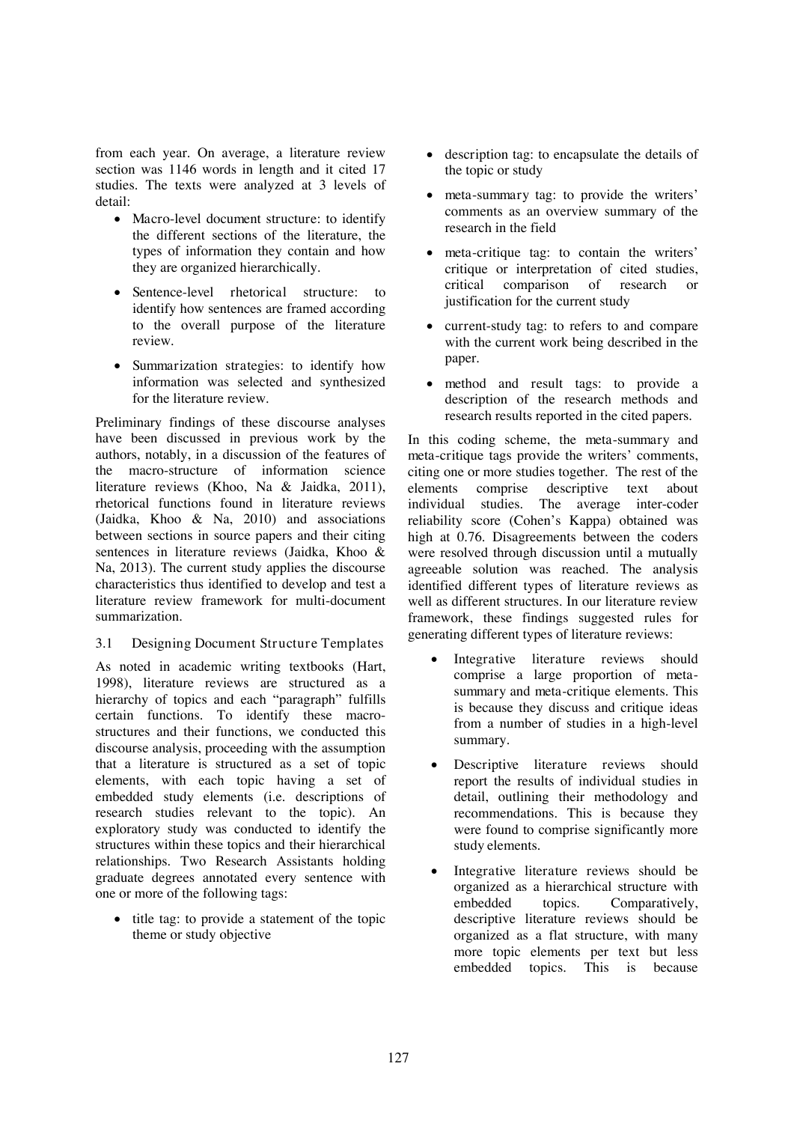from each year. On average, a literature review section was 1146 words in length and it cited 17 studies. The texts were analyzed at 3 levels of detail:

- *Macro-level document structure*: to identify the different sections of the literature, the types of information they contain and how they are organized hierarchically.
- *Sentence-level rhetorical structure*: to identify how sentences are framed according to the overall purpose of the literature review.
- *Summarization strategies*: to identify how information was selected and synthesized for the literature review.

Preliminary findings of these discourse analyses have been discussed in previous work by the authors, notably, in a discussion of the features of the macro-structure of information science literature reviews (Khoo, Na & Jaidka, 2011), rhetorical functions found in literature reviews (Jaidka, Khoo & Na, 2010) and associations between sections in source papers and their citing sentences in literature reviews (Jaidka, Khoo & Na, 2013). The current study applies the discourse characteristics thus identified to develop and test a literature review framework for multi-document summarization.

**3.1 Designing Document Structure Templates**

As noted in academic writing textbooks (Hart, 1998), literature reviews are structured as a hierarchy of topics and each "paragraph" fulfills certain functions. To identify these macrostructures and their functions, we conducted this discourse analysis, proceeding with the assumption that a literature is structured as a set of *topic* elements, with each *topic* having a set of embedded *study* elements (i.e. descriptions of research studies relevant to the topic). An exploratory study was conducted to identify the structures within these topics and their hierarchical relationships. Two Research Assistants holding graduate degrees annotated every sentence with one or more of the following tags:

• title tag: to provide a statement of the topic theme or study objective

- *description* tag: to encapsulate the details of the topic or study
- *meta-summary* tag: to provide the writers' comments as an overview summary of the research in the field
- *meta-critique* tag: to contain the writers' critique or interpretation of cited studies, critical comparison of research or justification for the current study
- *current-study* tag: to refers to and compare with the current work being described in the paper.
- *method* and *result* tags: to provide a description of the research methods and research results reported in the cited papers.

In this coding scheme, the *meta-summary* and *meta-critique* tags provide the writers' comments, citing one or more studies together. The rest of the elements comprise descriptive text about individual studies. The average inter-coder reliability score (Cohen's Kappa) obtained was high at 0.76. Disagreements between the coders were resolved through discussion until a mutually agreeable solution was reached. The analysis identified different types of literature reviews as well as different structures. In our literature review framework, these findings suggested rules for generating different types of literature reviews:

- *Integrative literature reviews* should comprise a large proportion of *metasummary* and *meta-critique* elements. This is because they discuss and critique ideas from a number of studies in a high-level summary.
- D*escriptive literature reviews* should report the results of individual studies in detail, outlining their methodology and recommendations. This is because they were found to comprise significantly more *study* elements.
- *Integrative literature reviews* should be organized as a hierarchical structure with embedded topics. Comparatively, descriptive literature reviews should be organized as a flat structure, with many more topic elements per text but less embedded topics. This is because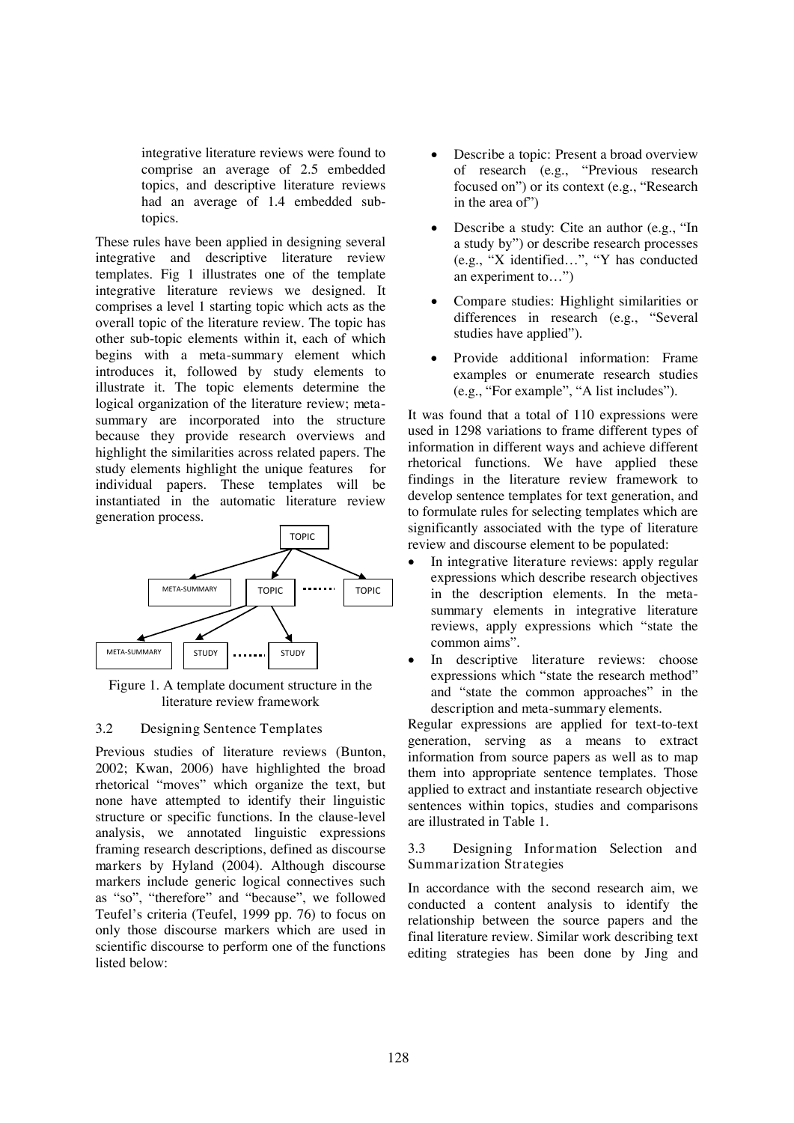integrative literature reviews were found to comprise an average of 2.5 embedded topics, and descriptive literature reviews had an average of 1.4 embedded subtopics.

These rules have been applied in designing several integrative and descriptive literature review templates. Fig 1 illustrates one of the template integrative literature reviews we designed. It comprises a level 1 starting *topic* which acts as the overall topic of the literature review. The *topic* has other sub-*topic* elements within it, each of which begins with a *meta-summary* element which introduces it, followed by *study* elements to illustrate it. The *topic* elements determine the logical organization of the literature review; *metasummary* are incorporated into the structure because they provide research overviews and highlight the similarities across related papers. The *study* elements highlight the unique features for individual papers. These templates will be instantiated in the automatic literature review generation process.



Figure 1. A template document structure in the literature review framework

### **3.2 Designing Sentence Templates**

Previous studies of literature reviews (Bunton, 2002; Kwan, 2006) have highlighted the broad rhetorical "moves" which organize the text, but none have attempted to identify their linguistic structure or specific functions. In the clause-level analysis, we annotated linguistic expressions framing research descriptions, defined as *discourse markers* by Hyland (2004). Although discourse markers include generic logical connectives such as "so", "therefore" and "because", we followed Teufel's criteria (Teufel, 1999 pp. 76) to focus on only those discourse markers which are used in scientific discourse to perform one of the functions listed below:

- *Describe a topic:* Present a broad overview of research (e.g., "Previous research focused on") or its context (e.g., "Research in the area of")
- *Describe a study:* Cite an author (e.g., "In a study by") or describe research processes (e.g., "X identified…", "Y has conducted an experiment to…")
- *Compare studies:* Highlight similarities or differences in research (e.g., "Several studies have applied").
- *Provide additional information:* Frame examples or enumerate research studies (e.g., "For example", "A list includes").

It was found that a total of 110 expressions were used in 1298 variations to frame different types of information in different ways and achieve different rhetorical functions. We have applied these findings in the literature review framework to develop sentence templates for text generation, and to formulate rules for selecting templates which are significantly associated with the type of literature review and discourse element to be populated:

- *In integrative literature reviews*: apply regular expressions which describe research objectives in the *description* elements. In the *metasummary* elements in integrative literature reviews, apply expressions which "state the common aims".
- *In descriptive literature reviews*: choose expressions which "state the research method" and "state the common approaches" in the *description* and *meta-summary* elements.

Regular expressions are applied for text-to-text generation, serving as a means to extract information from source papers as well as to map them into appropriate sentence templates. Those applied to extract and instantiate research objective sentences within topics, studies and comparisons are illustrated in Table 1.

**3.3 Designing Information Selection and Summarization Strategies**

In accordance with the second research aim, we conducted a content analysis to identify the relationship between the source papers and the final literature review. Similar work describing text editing strategies has been done by Jing and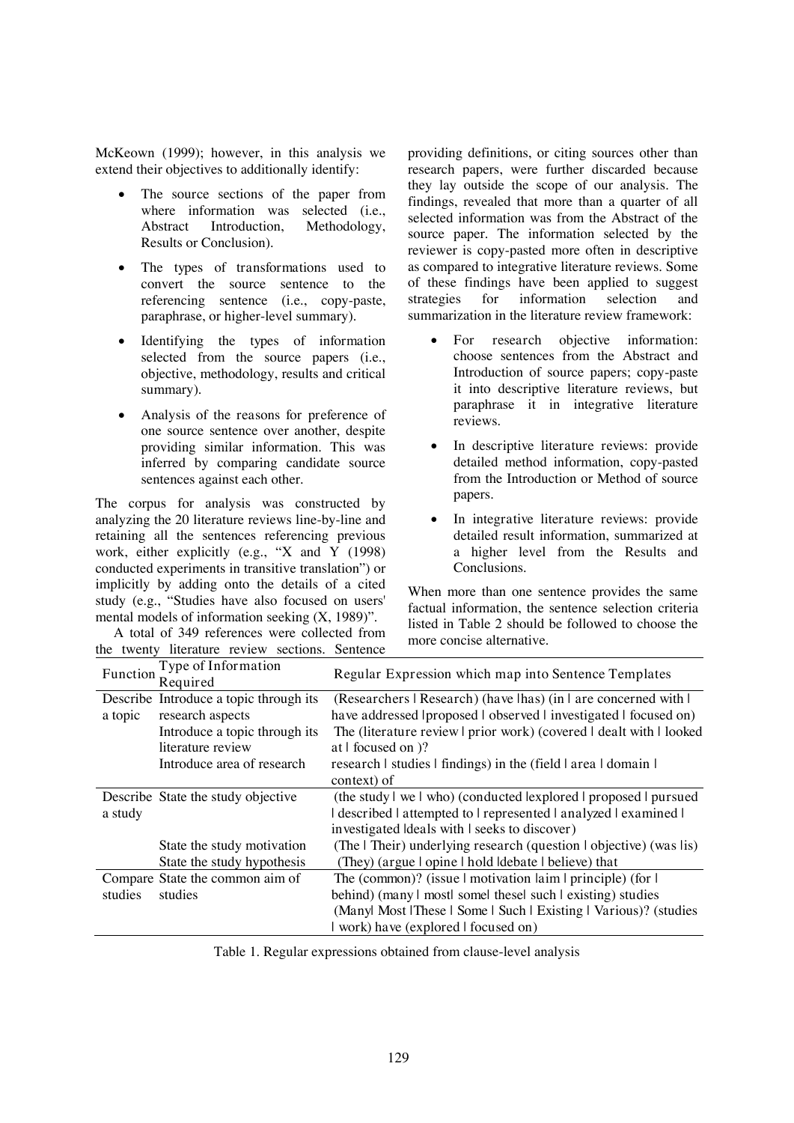McKeown (1999); however, in this analysis we extend their objectives to additionally identify:

- The *source sections* of the paper from where information was selected (i.e.,<br>Abstract Introduction. Methodology Introduction, Methodology, Results or Conclusion).
- The *types of transformations* used to convert the source sentence to the referencing sentence (i.e., copy-paste, paraphrase, or higher-level summary).
- Identifying the *types of information* selected from the source papers (i.e., objective, methodology, results and critical summary).
- Analysis of the *reasons for preference* of one source sentence over another, despite providing similar information. This was inferred by comparing candidate source sentences against each other.

The corpus for analysis was constructed by analyzing the 20 literature reviews line-by-line and retaining all the sentences referencing previous work, either explicitly (e.g., "X and Y (1998) conducted experiments in transitive translation") or implicitly by adding onto the details of a cited study (e.g., "Studies have also focused on users' mental models of information seeking (X, 1989)".

A total of 349 references were collected from the twenty literature review sections. Sentence providing definitions, or citing sources other than research papers, were further discarded because they lay outside the scope of our analysis. The findings, revealed that more than a quarter of all selected information was from the Abstract of the source paper. The information selected by the reviewer is copy-pasted more often in descriptive as compared to integrative literature reviews. Some of these findings have been applied to suggest strategies for information selection and summarization in the literature review framework:

- *For research objective information*: choose sentences from the Abstract and Introduction of source papers; copy-paste it into descriptive literature reviews, but paraphrase it in integrative literature reviews.
- *In descriptive literature reviews*: provide detailed method information, copy-pasted from the Introduction or Method of source papers.
- *In integrative literature reviews*: provide detailed result information, summarized at a higher level from the Results and Conclusions.

When more than one sentence provides the same factual information, the sentence selection criteria listed in Table 2 should be followed to choose the more concise alternative.

| Function | Type of Information<br>Required        | Regular Expression which map into Sentence Templates                                |
|----------|----------------------------------------|-------------------------------------------------------------------------------------|
|          | Describe Introduce a topic through its | (Researchers   Research) (have lhas) (in   are concerned with                       |
| a topic  | research aspects                       | have addressed proposed lobserved linvestigated locused on                          |
|          | Introduce a topic through its          | The (literature review prior work) (covered dealt with looked                       |
|          | literature review                      | at I focused on )?                                                                  |
|          | Introduce area of research             | research I studies I findings) in the (field I area I domain I                      |
|          |                                        | context) of                                                                         |
|          | Describe State the study objective     | (the study   we   who) (conducted lexplored   proposed   pursued                    |
| a study  |                                        | described attempted to represented analyzed examined l                              |
|          |                                        | investigated Ideals with I seeks to discover)                                       |
|          | State the study motivation             | (The I Their) underlying research (question I objective) (was lis)                  |
|          | State the study hypothesis             | (They) (argue I opine I hold Idebate I believe) that                                |
|          | Compare State the common aim of        | The (common)? (issue $\vert$ motivation $\vert$ aim $\vert$ principle) (for $\vert$ |
| studies  | studies                                | behind) (many I mostl somel thesel such I existing) studies                         |
|          |                                        | (Manyl Most   These   Some   Such   Existing   Various)? (studies                   |
|          |                                        | work) have (explored I focused on)                                                  |

Table 1. Regular expressions obtained from clause-level analysis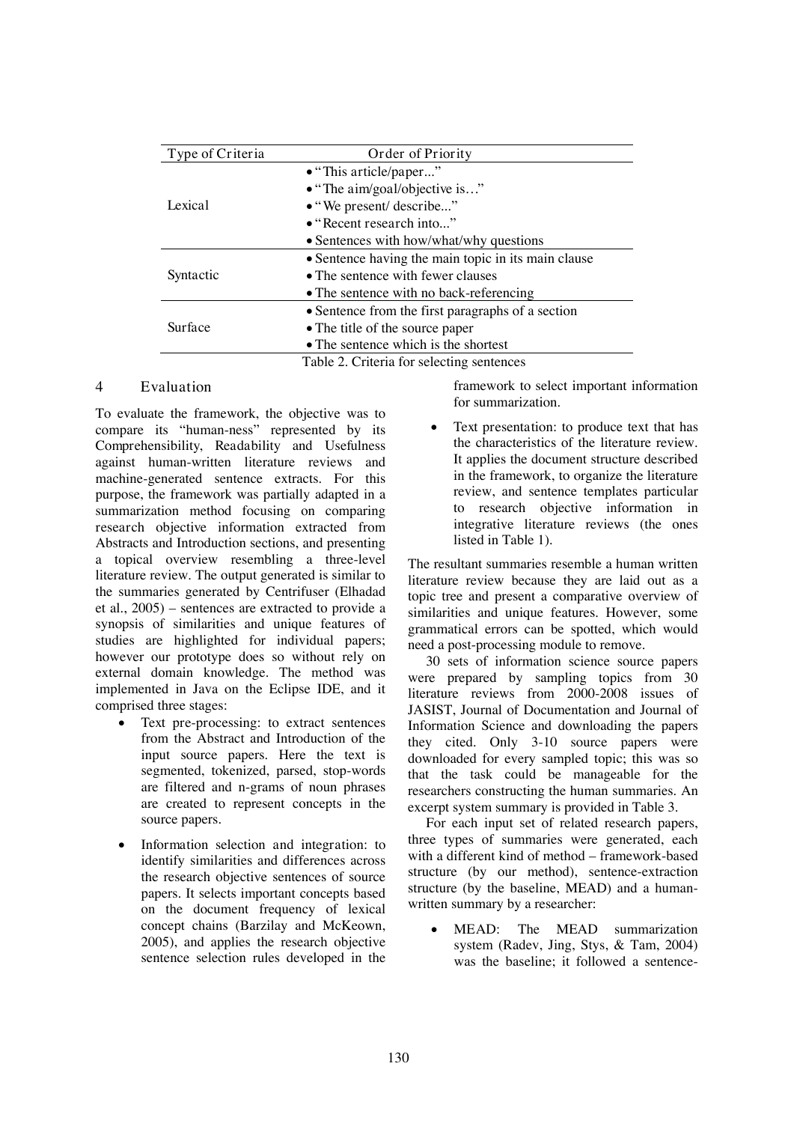| Type of Criteria | Order of Priority                                   |  |  |
|------------------|-----------------------------------------------------|--|--|
|                  | • "This article/paper"                              |  |  |
|                  | $\bullet$ "The aim/goal/objective is"               |  |  |
| Lexical          | • "We present/ describe"                            |  |  |
|                  | • "Recent research into"                            |  |  |
|                  | • Sentences with how/what/why questions             |  |  |
|                  | • Sentence having the main topic in its main clause |  |  |
| Syntactic        | • The sentence with fewer clauses                   |  |  |
|                  | • The sentence with no back-referencing             |  |  |
|                  | • Sentence from the first paragraphs of a section   |  |  |
| Surface          | • The title of the source paper                     |  |  |
|                  | • The sentence which is the shortest                |  |  |
|                  | Table 2. Criteria for selecting sentences           |  |  |

### **4 Evaluation**

To evaluate the framework, the objective was to compare its "human-ness" represented by its *Comprehensibility, Readability* and *Usefulness*  against human-written literature reviews and machine-generated sentence extracts. For this purpose, the framework was partially adapted in a summarization method focusing on comparing *research objective* information extracted from Abstracts and Introduction sections, and presenting a topical overview resembling a three-level literature review. The output generated is similar to the summaries generated by Centrifuser (Elhadad et al., 2005) – sentences are extracted to provide a synopsis of similarities and unique features of studies are highlighted for individual papers; however our prototype does so without rely on external domain knowledge. The method was implemented in Java on the Eclipse IDE, and it comprised three stages:

- *Text pre-processing*: to extract sentences from the Abstract and Introduction of the input source papers. Here the text is segmented, tokenized, parsed, stop-words are filtered and n-grams of noun phrases are created to represent concepts in the source papers.
- *Information selection and integration*: to identify similarities and differences across the research objective sentences of source papers. It selects important concepts based on the document frequency of lexical concept chains (Barzilay and McKeown, 2005), and applies the research objective sentence selection rules developed in the

framework to select important information for summarization.

 *Text presentation*: to produce text that has the characteristics of the literature review. It applies the document structure described in the framework, to organize the literature review, and sentence templates particular to research objective information in integrative literature reviews (the ones listed in Table 1).

The resultant summaries resemble a human written literature review because they are laid out as a topic tree and present a comparative overview of similarities and unique features. However, some grammatical errors can be spotted, which would need a post-processing module to remove.

30 sets of information science source papers were prepared by sampling topics from 30 literature reviews from 2000-2008 issues of JASIST, Journal of Documentation and Journal of Information Science and downloading the papers they cited. Only 3-10 source papers were downloaded for every sampled topic; this was so that the task could be manageable for the researchers constructing the human summaries. An excerpt system summary is provided in Table 3.

For each input set of related research papers, three types of summaries were generated, each with a different kind of method – framework-based structure (by our method), sentence-extraction structure (by the baseline, MEAD) and a humanwritten summary by a researcher:

 M**EAD:** The MEAD summarization system (Radev, Jing, Stys, & Tam, 2004) was the baseline; it followed a sentence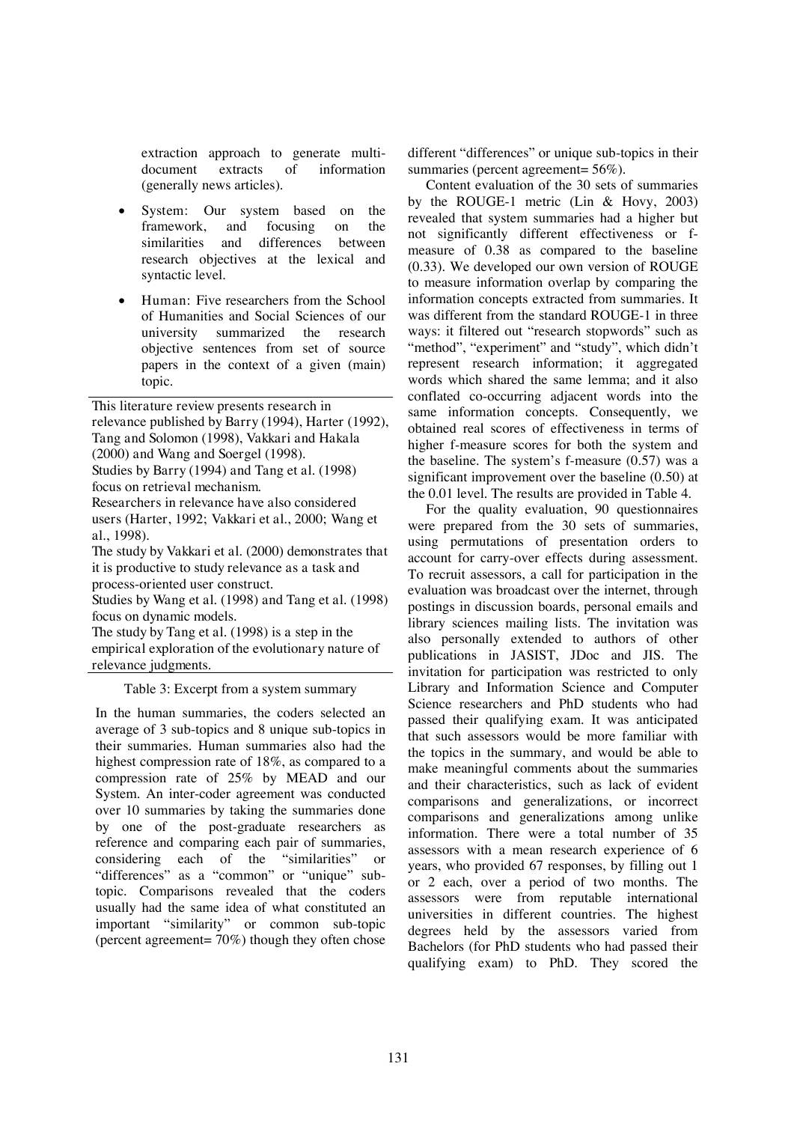extraction approach to generate multidocument extracts of information (generally news articles).

- System: Our system based on the framework, and focusing on the framework, and focusing on the similarities and differences between research objectives at the lexical and syntactic level.
- **Human:** Five researchers from the School of Humanities and Social Sciences of our university summarized the research objective sentences from set of source papers in the context of a given (main) topic.

*This literature review presents research in relevance published by Barry (1994), Harter (1992), Tang and Solomon (1998), Vakkari and Hakala (2000) and Wang and Soergel (1998). Studies by Barry (1994) and Tang et al. (1998) focus on retrieval mechanism. Researchers in relevance have also considered users (Harter, 1992; Vakkari et al., 2000; Wang et al., 1998).* 

*The study by Vakkari et al. (2000) demonstrates that it is productive to study relevance as a task and process-oriented user construct.* 

*Studies by Wang et al. (1998) and Tang et al. (1998) focus on dynamic models.* 

*The study by Tang et al. (1998) is a step in the empirical exploration of the evolutionary nature of relevance judgments.*

Table 3: Excerpt from a system summary

In the human summaries, the coders selected an average of 3 sub-topics and 8 unique sub-topics in their summaries. Human summaries also had the highest compression rate of 18%, as compared to a compression rate of 25% by MEAD and our System. An inter-coder agreement was conducted over 10 summaries by taking the summaries done by one of the post-graduate researchers as reference and comparing each pair of summaries, considering each of the "similarities" or "differences" as a "common" or "unique" subtopic. Comparisons revealed that the coders usually had the same idea of what constituted an important "similarity" or common sub-topic (percent agreement= 70%) though they often chose

different "differences" or unique sub-topics in their summaries (percent agreement= 56%).

Content evaluation of the 30 sets of summaries by the ROUGE-1 metric (Lin & Hovy, 2003) revealed that system summaries had a higher but not significantly different effectiveness or fmeasure of 0.38 as compared to the baseline (0.33). We developed our own version of ROUGE to measure information overlap by comparing the information concepts extracted from summaries. It was different from the standard ROUGE-1 in three ways: it filtered out "research stopwords" such as "method", "experiment" and "study", which didn't represent research information; it aggregated words which shared the same lemma; and it also conflated co-occurring adjacent words into the same information concepts. Consequently, we obtained real scores of effectiveness in terms of higher f-measure scores for both the system and the baseline. The system's f-measure (0.57) was a significant improvement over the baseline (0.50) at the 0.01 level. The results are provided in Table 4.

For the quality evaluation, 90 questionnaires were prepared from the 30 sets of summaries, using permutations of presentation orders to account for carry-over effects during assessment. To recruit assessors, a call for participation in the evaluation was broadcast over the internet, through postings in discussion boards, personal emails and library sciences mailing lists. The invitation was also personally extended to authors of other publications in JASIST, JDoc and JIS. The invitation for participation was restricted to only Library and Information Science and Computer Science researchers and PhD students who had passed their qualifying exam. It was anticipated that such assessors would be more familiar with the topics in the summary, and would be able to make meaningful comments about the summaries and their characteristics, such as lack of evident comparisons and generalizations, or incorrect comparisons and generalizations among unlike information. There were a total number of 35 assessors with a mean research experience of 6 years, who provided 67 responses, by filling out 1 or 2 each, over a period of two months. The assessors were from reputable international universities in different countries. The highest degrees held by the assessors varied from Bachelors (for PhD students who had passed their qualifying exam) to PhD. They scored the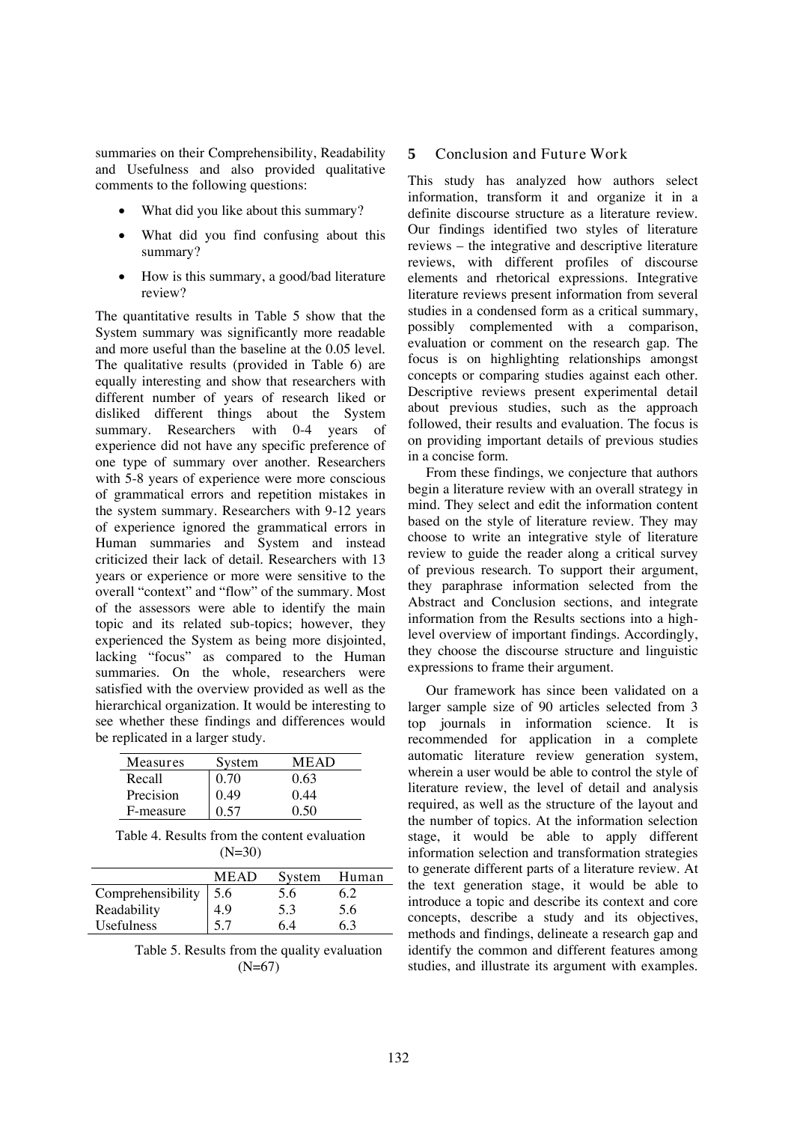summaries on their Comprehensibility, Readability and Usefulness and also provided qualitative comments to the following questions:

- What did you like about this summary?
- What did you find confusing about this summary?
- How is this summary, a good/bad literature review?

The quantitative results in Table 5 show that the System summary was significantly more readable and more useful than the baseline at the 0.05 level. The qualitative results (provided in Table 6) are equally interesting and show that researchers with different number of years of research liked or disliked different things about the System summary. Researchers with 0-4 years of experience did not have any specific preference of one type of summary over another. Researchers with 5-8 years of experience were more conscious of grammatical errors and repetition mistakes in the system summary. Researchers with 9-12 years of experience ignored the grammatical errors in Human summaries and System and instead criticized their lack of detail. Researchers with 13 years or experience or more were sensitive to the overall "context" and "flow" of the summary. Most of the assessors were able to identify the main topic and its related sub-topics; however, they experienced the System as being more disjointed, lacking "focus" as compared to the Human summaries. On the whole, researchers were satisfied with the overview provided as well as the hierarchical organization. It would be interesting to see whether these findings and differences would be replicated in a larger study.

| Measures  | System | <b>MEAD</b> |
|-----------|--------|-------------|
| Recall    | 0.70   | 0.63        |
| Precision | 0.49   | 0.44        |
| F-measure | 0.57   | 0.50        |

Table 4. Results from the content evaluation  $(N=30)$ 

|                   | <b>MEAD</b> | System | Human |
|-------------------|-------------|--------|-------|
| Comprehensibility | 5.6         | 5.6    | 6.2   |
| Readability       | 4.9         | 5.3    | 5.6   |
| Usefulness        |             | 64     | 6.3   |

Table 5. Results from the quality evaluation (N=67)

### **5 Conclusion and Future Work**

This study has analyzed how authors select information, transform it and organize it in a definite discourse structure as a literature review. Our findings identified two styles of literature reviews – the integrative and descriptive literature reviews, with different profiles of discourse elements and rhetorical expressions. Integrative literature reviews present information from several studies in a condensed form as a critical summary, possibly complemented with a comparison, evaluation or comment on the research gap. The focus is on highlighting relationships amongst concepts or comparing studies against each other. Descriptive reviews present experimental detail about previous studies, such as the approach followed, their results and evaluation. The focus is on providing important details of previous studies in a concise form.

From these findings, we conjecture that authors begin a literature review with an overall strategy in mind. They select and edit the information content based on the style of literature review. They may choose to write an integrative style of literature review to guide the reader along a critical survey of previous research. To support their argument, they paraphrase information selected from the Abstract and Conclusion sections, and integrate information from the Results sections into a highlevel overview of important findings. Accordingly, they choose the discourse structure and linguistic expressions to frame their argument.

Our framework has since been validated on a larger sample size of 90 articles selected from 3 top journals in information science. It is recommended for application in a complete automatic literature review generation system, wherein a user would be able to control the style of literature review, the level of detail and analysis required, as well as the structure of the layout and the number of topics. At the information selection stage, it would be able to apply different information selection and transformation strategies to generate different parts of a literature review. At the text generation stage, it would be able to introduce a topic and describe its context and core concepts, describe a study and its objectives, methods and findings, delineate a research gap and identify the common and different features among studies, and illustrate its argument with examples.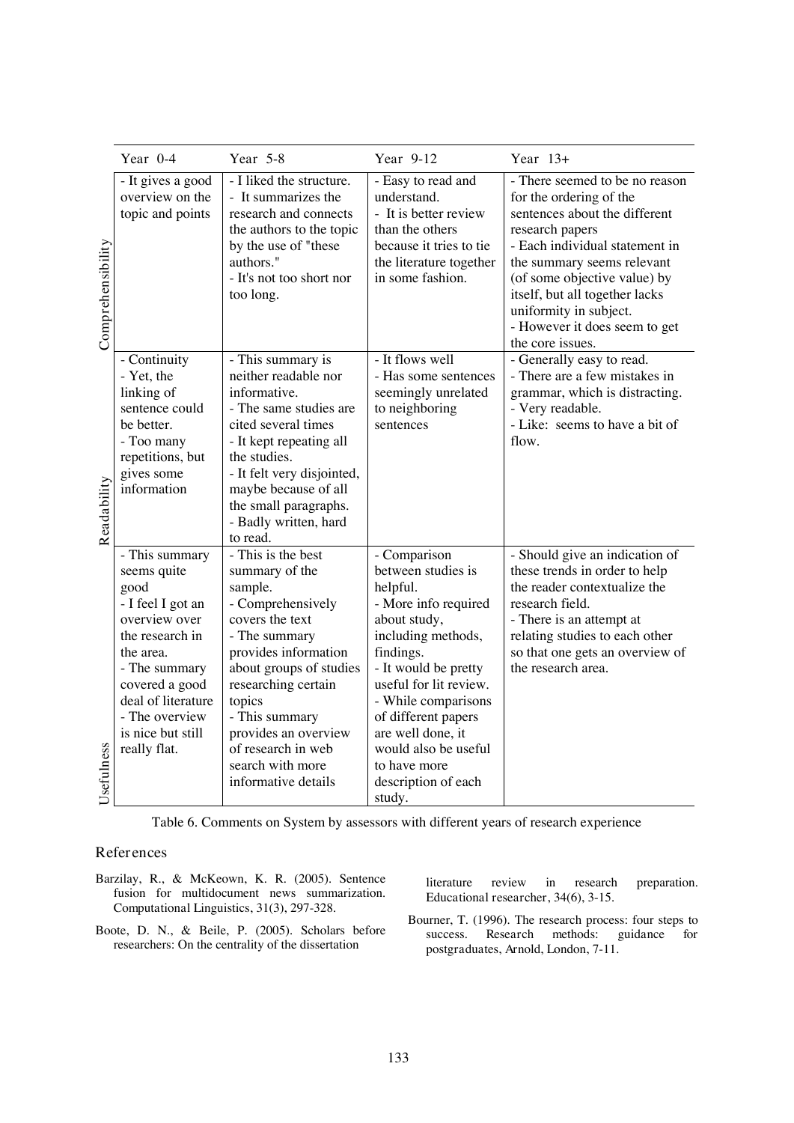|                   | Year 0-4                                                                                                                                                                                                                    | Year 5-8                                                                                                                                                                                                                                                                                                | Year 9-12                                                                                                                                                                                                                                                                                                               | Year $13+$                                                                                                                                                                                                                                                                                                                     |
|-------------------|-----------------------------------------------------------------------------------------------------------------------------------------------------------------------------------------------------------------------------|---------------------------------------------------------------------------------------------------------------------------------------------------------------------------------------------------------------------------------------------------------------------------------------------------------|-------------------------------------------------------------------------------------------------------------------------------------------------------------------------------------------------------------------------------------------------------------------------------------------------------------------------|--------------------------------------------------------------------------------------------------------------------------------------------------------------------------------------------------------------------------------------------------------------------------------------------------------------------------------|
| Comprehensibility | - It gives a good<br>overview on the<br>topic and points                                                                                                                                                                    | - I liked the structure.<br>- It summarizes the<br>research and connects<br>the authors to the topic<br>by the use of "these<br>authors."<br>- It's not too short nor<br>too long.                                                                                                                      | - Easy to read and<br>understand.<br>- It is better review<br>than the others<br>because it tries to tie<br>the literature together<br>in some fashion.                                                                                                                                                                 | - There seemed to be no reason<br>for the ordering of the<br>sentences about the different<br>research papers<br>- Each individual statement in<br>the summary seems relevant<br>(of some objective value) by<br>itself, but all together lacks<br>uniformity in subject.<br>- However it does seem to get<br>the core issues. |
| Readability       | - Continuity<br>- Yet, the<br>linking of<br>sentence could<br>be better.<br>- Too many<br>repetitions, but<br>gives some<br>information                                                                                     | - This summary is<br>neither readable nor<br>informative.<br>- The same studies are<br>cited several times<br>- It kept repeating all<br>the studies.<br>- It felt very disjointed,<br>maybe because of all<br>the small paragraphs.<br>- Badly written, hard<br>to read.                               | - It flows well<br>- Has some sentences<br>seemingly unrelated<br>to neighboring<br>sentences                                                                                                                                                                                                                           | - Generally easy to read.<br>- There are a few mistakes in<br>grammar, which is distracting.<br>- Very readable.<br>- Like: seems to have a bit of<br>flow.                                                                                                                                                                    |
| Usefulness        | - This summary<br>seems quite<br>good<br>- I feel I got an<br>overview over<br>the research in<br>the area.<br>- The summary<br>covered a good<br>deal of literature<br>- The overview<br>is nice but still<br>really flat. | - This is the best<br>summary of the<br>sample.<br>- Comprehensively<br>covers the text<br>- The summary<br>provides information<br>about groups of studies<br>researching certain<br>topics<br>- This summary<br>provides an overview<br>of research in web<br>search with more<br>informative details | - Comparison<br>between studies is<br>helpful.<br>- More info required<br>about study,<br>including methods,<br>findings.<br>- It would be pretty<br>useful for lit review.<br>- While comparisons<br>of different papers<br>are well done, it<br>would also be useful<br>to have more<br>description of each<br>study. | - Should give an indication of<br>these trends in order to help<br>the reader contextualize the<br>research field.<br>- There is an attempt at<br>relating studies to each other<br>so that one gets an overview of<br>the research area.                                                                                      |

Table 6. Comments on System by assessors with different years of research experience

### **References**

Barzilay, R., & McKeown, K. R. (2005). Sentence fusion for multidocument news summarization. *Computational Linguistics*, *31*(3), 297-328.

Boote, D. N., & Beile, P. (2005). Scholars before researchers: On the centrality of the dissertation

literature review in research preparation. *Educational researcher*, *34*(6), 3-15.

Bourner, T. (1996). The research process: four steps to success. Research methods: guidance for *postgraduates, Arnold, London*, 7-11.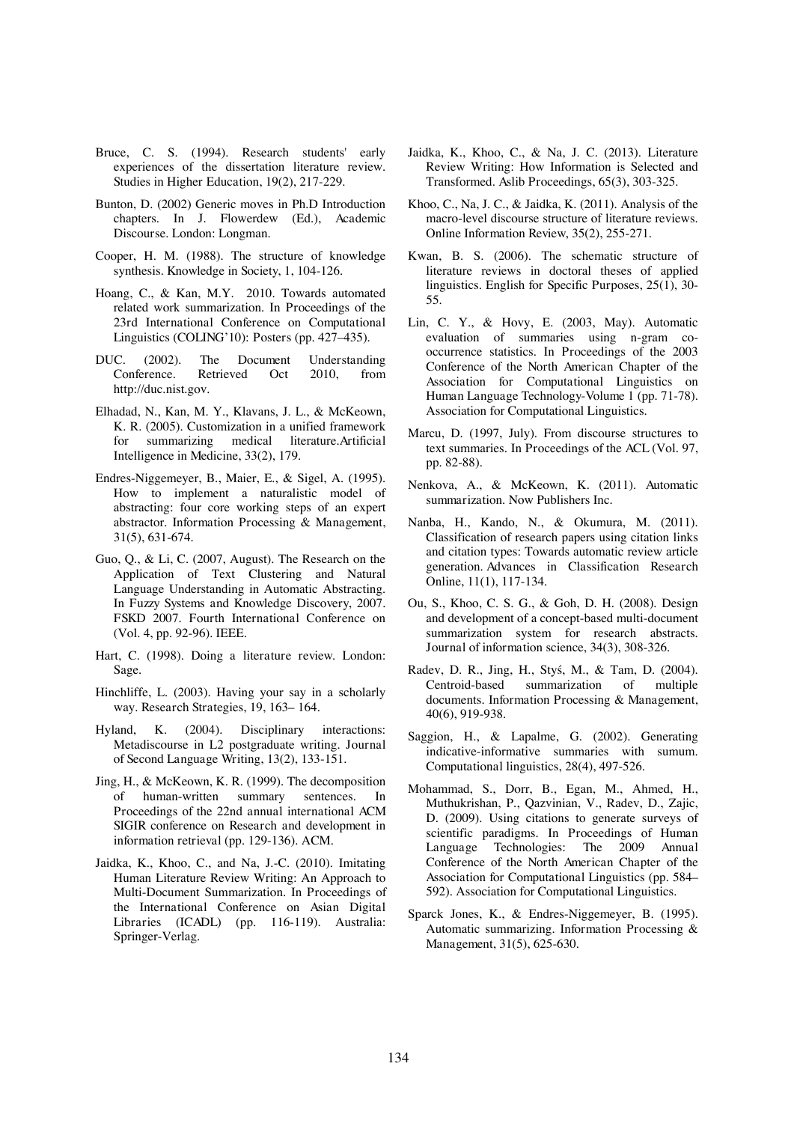- Bruce, C. S. (1994). Research students' early experiences of the dissertation literature review. *Studies in Higher Education*, *19*(2), 217-229.
- Bunton, D. (2002) Generic moves in Ph.D Introduction chapters. In J. Flowerdew (Ed.), *Academic Discourse*. London: Longman.
- Cooper, H. M. (1988). The structure of knowledge synthesis. *Knowledge in Society*, *1*, 104-126.
- Hoang, C., & Kan, M.Y. 2010. Towards automated related work summarization. In *Proceedings of the 23rd International Conference on Computational Linguistics (COLING'10): Posters* (pp. 427–435).
- DUC. (2002). *The Document Understanding Conference*. Retrieved Oct 2010, from http://duc.nist.gov.
- Elhadad, N., Kan, M. Y., Klavans, J. L., & McKeown, K. R. (2005). Customization in a unified framework for summarizing medical literature.*Artificial Intelligence in Medicine*, *33*(2), 179.
- Endres-Niggemeyer, B., Maier, E., & Sigel, A. (1995). How to implement a naturalistic model of abstracting: four core working steps of an expert abstractor. *Information Processing & Management*, *31*(5), 631-674.
- Guo, Q., & Li, C. (2007, August). The Research on the Application of Text Clustering and Natural Language Understanding in Automatic Abstracting. In *Fuzzy Systems and Knowledge Discovery, 2007. FSKD 2007. Fourth International Conference on* (Vol. 4, pp. 92-96). IEEE.
- Hart, C. (1998). *Doing a literature review*. London: Sage.
- Hinchliffe, L. (2003). Having your say in a scholarly way. *Research Strategies*, 19, 163– 164.
- Hyland, K. (2004). Disciplinary interactions: Metadiscourse in L2 postgraduate writing. *Journal of Second Language Writing*, *13*(2), 133-151.
- Jing, H., & McKeown, K. R. (1999). The decomposition of human-written summary sentences. In *Proceedings of the 22nd annual international ACM SIGIR conference on Research and development in information retrieval* (pp. 129-136). ACM.
- Jaidka, K., Khoo, C., and Na, J.-C. (2010). Imitating Human Literature Review Writing: An Approach to Multi-Document Summarization. In *Proceedings of the International Conference on Asian Digital Libraries (ICADL)* (pp. 116-119). Australia: Springer-Verlag.
- Jaidka, K., Khoo, C., & Na, J. C. (2013). Literature Review Writing: How Information is Selected and Transformed. *Aslib Proceedings, 65*(3), 303-325.
- Khoo, C., Na, J. C., & Jaidka, K. (2011). Analysis of the macro-level discourse structure of literature reviews. *Online Information Review*, *35*(2), 255-271.
- Kwan, B. S. (2006). The schematic structure of literature reviews in doctoral theses of applied linguistics. *English for Specific Purposes*, *25*(1), 30- 55.
- Lin, C. Y., & Hovy, E. (2003, May). Automatic evaluation of summaries using n-gram cooccurrence statistics. In *Proceedings of the 2003 Conference of the North American Chapter of the Association for Computational Linguistics on Human Language Technology-Volume 1* (pp. 71-78). Association for Computational Linguistics.
- Marcu, D. (1997, July). From discourse structures to text summaries. In *Proceedings of the ACL* (Vol. 97, pp. 82-88).
- Nenkova, A., & McKeown, K. (2011). *Automatic summarization*. Now Publishers Inc.
- Nanba, H., Kando, N., & Okumura, M. (2011). Classification of research papers using citation links and citation types: Towards automatic review article generation. *Advances in Classification Research Online*, *11*(1), 117-134.
- Ou, S., Khoo, C. S. G., & Goh, D. H. (2008). Design and development of a concept-based multi-document summarization system for research abstracts. *Journal of information science*, *34*(3), 308-326.
- Radev, D. R., Jing, H., Styś, M., & Tam, D. (2004). Centroid-based summarization of multiple documents. *Information Processing & Management*, *40*(6), 919-938.
- Saggion, H., & Lapalme, G. (2002). Generating indicative-informative summaries with sumum. *Computational linguistics*, *28*(4), 497-526.
- Mohammad, S., Dorr, B., Egan, M., Ahmed, H., Muthukrishan, P., Qazvinian, V., Radev, D., Zajic, D. (2009). Using citations to generate surveys of scientific paradigms. In *Proceedings of Human Language Technologies: The 2009 Annual Conference of the North American Chapter of the Association for Computational Linguistics* (pp. 584– 592). Association for Computational Linguistics.
- Sparck Jones, K., & Endres-Niggemeyer, B. (1995). Automatic summarizing. *Information Processing & Management*, *31*(5), 625-630.